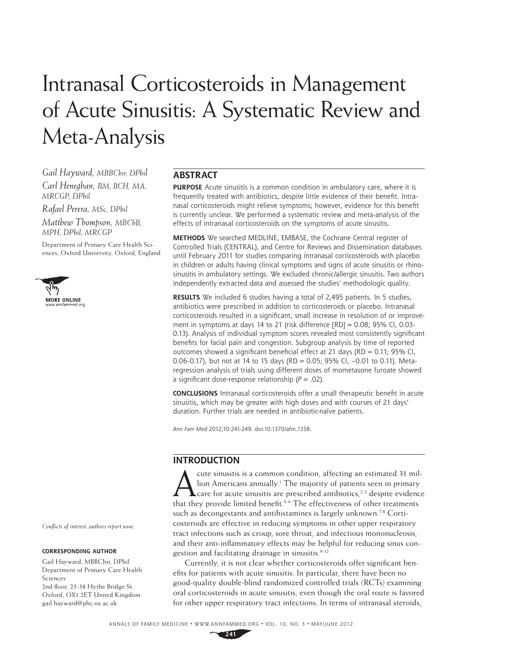# Intranasal Corticosteroids in Management of Acute Sinusitis: A Systematic Review and Meta-Analysis

*Gail Hayward, MBBChir, DPhil*

*Carl Heneghan, BM, BCH, MA, MRCGP, DPhil*

*Rafael Perera, MSc, DPhil*

*Matthew Thompson, MBChB, MPH, DPhil, MRCGP*

Department of Primary Care Health Sciences, Oxford University, Oxford, England



# **ABSTRACT**

**PURPOSE** Acute sinusitis is a common condition in ambulatory care, where it is frequently treated with antibiotics, despite little evidence of their benefit. Intranasal corticosteroids might relieve symptoms; however, evidence for this benefit is currently unclear. We performed a systematic review and meta-analysis of the effects of intranasal corticosteroids on the symptoms of acute sinusitis.

**METHODS** We searched MEDLINE, EMBASE, the Cochrane Central register of Controlled Trials (CENTRAL), and Centre for Reviews and Dissemination databases until February 2011 for studies comparing intranasal corticosteroids with placebo in children or adults having clinical symptoms and signs of acute sinusitis or rhinosinusitis in ambulatory settings. We excluded chronic/allergic sinusitis. Two authors independently extracted data and assessed the studies' methodologic quality.

**RESULTS** We included 6 studies having a total of 2,495 patients. In 5 studies, antibiotics were prescribed in addition to corticosteroids or placebo. Intranasal corticosteroids resulted in a significant, small increase in resolution of or improvement in symptoms at days 14 to 21 (risk difference [RD] = 0.08; 95% CI, 0.03- 0.13). Analysis of individual symptom scores revealed most consistently significant benefits for facial pain and congestion. Subgroup analysis by time of reported outcomes showed a significant beneficial effect at 21 days (RD = 0.11; 95% CI, 0.06-0.17), but not at 14 to 15 days (RD = 0.05; 95% CI, –0.01 to 0.11). Metaregression analysis of trials using different doses of mometasone furoate showed a significant dose-response relationship  $(P = .02)$ .

**CONCLUSIONS** Intranasal corticosteroids offer a small therapeutic benefit in acute sinusitis, which may be greater with high doses and with courses of 21 days' duration. Further trials are needed in antibiotic-naïve patients.

Ann Fam Med 2012;10:241-249. doi:10.1370/afm.1338.

# **INTRODUCTION**

cute sinusitis is a common condition, affecting an estimated 31 million Americans annually.<sup>1</sup> The majority of patients seen in primary care for acute sinusitis are prescribed antibiotics,<sup>2,3</sup> despite evidence that they provide limited benefit.<sup>4-6</sup> The effectiveness of other treatments such as decongestants and antihistamines is largely unknown.<sup>7,8</sup> Corticosteroids are effective in reducing symptoms in other upper respiratory tract infections such as croup, sore throat, and infectious mononucleosis, and their anti-inflammatory effects may be helpful for reducing sinus congestion and facilitating drainage in sinusitis.<sup>9-12</sup>

Currently, it is not clear whether corticosteroids offer significant benefits for patients with acute sinusitis. In particular, there have been no good-quality double-blind randomized controlled trials (RCTs) examining oral corticosteroids in acute sinusitis, even though the oral route is favored for other upper respiratory tract infections. In terms of intranasal steroids,

*Confl icts of interest: authors report none.*

#### **CORRESPONDING AUTHOR**

Gail Hayward, MBBChir, DPhil Department of Primary Care Health Sciences 2nd floor, 23-38 Hythe Bridge St Oxford, OX1 2ET United Kingdom gail.hayward@phc.ox.ac.uk

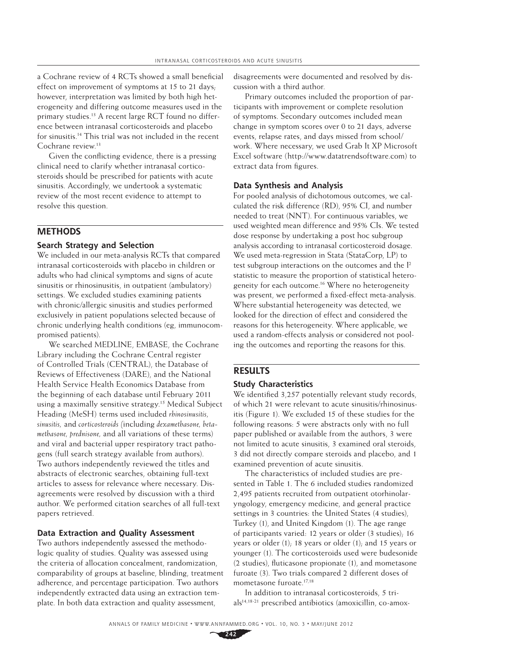a Cochrane review of 4 RCTs showed a small beneficial effect on improvement of symptoms at 15 to 21 days; however, interpretation was limited by both high heterogeneity and differing outcome measures used in the primary studies.13 A recent large RCT found no difference between intranasal corticosteroids and placebo for sinusitis.14 This trial was not included in the recent Cochrane review.<sup>13</sup>

Given the conflicting evidence, there is a pressing clinical need to clarify whether intranasal corticosteroids should be prescribed for patients with acute sinusitis. Accordingly, we undertook a systematic review of the most recent evidence to attempt to resolve this question.

# **METHODS**

# **Search Strategy and Selection**

We included in our meta-analysis RCTs that compared intranasal corticosteroids with placebo in children or adults who had clinical symptoms and signs of acute sinusitis or rhinosinusitis, in outpatient (ambulatory) settings. We excluded studies examining patients with chronic/allergic sinusitis and studies performed exclusively in patient populations selected because of chronic underlying health conditions (eg, immunocompromised patients).

We searched MEDLINE, EMBASE, the Cochrane Library including the Cochrane Central register of Controlled Trials (CENTRAL), the Database of Reviews of Effectiveness (DARE), and the National Health Service Health Economics Database from the beginning of each database until February 2011 using a maximally sensitive strategy.<sup>15</sup> Medical Subject Heading (MeSH) terms used included *rhinosinusitis, sinusitis,* and *corticosteroids (*including *dexamethasone, betamethasone, prednisone,* and all variations of these terms) and viral and bacterial upper respiratory tract pathogens (full search strategy available from authors). Two authors independently reviewed the titles and abstracts of electronic searches, obtaining full-text articles to assess for relevance where necessary. Disagreements were resolved by discussion with a third author. We performed citation searches of all full-text papers retrieved.

# **Data Extraction and Quality Assessment**

Two authors independently assessed the methodologic quality of studies. Quality was assessed using the criteria of allocation concealment, randomization, comparability of groups at baseline, blinding, treatment adherence, and percentage participation. Two authors independently extracted data using an extraction template. In both data extraction and quality assessment,

disagreements were documented and resolved by discussion with a third author.

Primary outcomes included the proportion of participants with improvement or complete resolution of symptoms. Secondary outcomes included mean change in symptom scores over 0 to 21 days, adverse events, relapse rates, and days missed from school/ work. Where necessary, we used Grab It XP Microsoft Excel software (http://www.datatrendsoftware.com) to extract data from figures.

## **Data Synthesis and Analysis**

For pooled analysis of dichotomous outcomes, we calculated the risk difference (RD), 95% CI, and number needed to treat (NNT). For continuous variables, we used weighted mean difference and 95% CIs. We tested dose response by undertaking a post hoc subgroup analysis according to intranasal corticosteroid dosage. We used meta-regression in Stata (StataCorp, LP) to test subgroup interactions on the outcomes and the I2 statistic to measure the proportion of statistical heterogeneity for each outcome.16 Where no heterogeneity was present, we performed a fixed-effect meta-analysis. Where substantial heterogeneity was detected, we looked for the direction of effect and considered the reasons for this heterogeneity. Where applicable, we used a random-effects analysis or considered not pooling the outcomes and reporting the reasons for this.

# **RESULTS**

## **Study Characteristics**

We identified 3,257 potentially relevant study records, of which 21 were relevant to acute sinusitis/rhinosinusitis (Figure 1). We excluded 15 of these studies for the following reasons: 5 were abstracts only with no full paper published or available from the authors, 3 were not limited to acute sinusitis, 3 examined oral steroids, 3 did not directly compare steroids and placebo, and 1 examined prevention of acute sinusitis.

The characteristics of included studies are presented in Table 1. The 6 included studies randomized 2,495 patients recruited from outpatient otorhinolaryngology, emergency medicine, and general practice settings in 3 countries: the United States (4 studies), Turkey (1), and United Kingdom (1). The age range of participants varied: 12 years or older (3 studies); 16 years or older (1); 18 years or older (1); and 15 years or younger (1). The corticosteroids used were budesonide  $(2 \text{ studies})$ , fluticasone propionate  $(1)$ , and mometasone furoate (3). Two trials compared 2 different doses of mometasone furoate.17,18

In addition to intranasal corticosteroids, 5 tri $als<sup>14,18-21</sup>$  prescribed antibiotics (amoxicillin, co-amox-

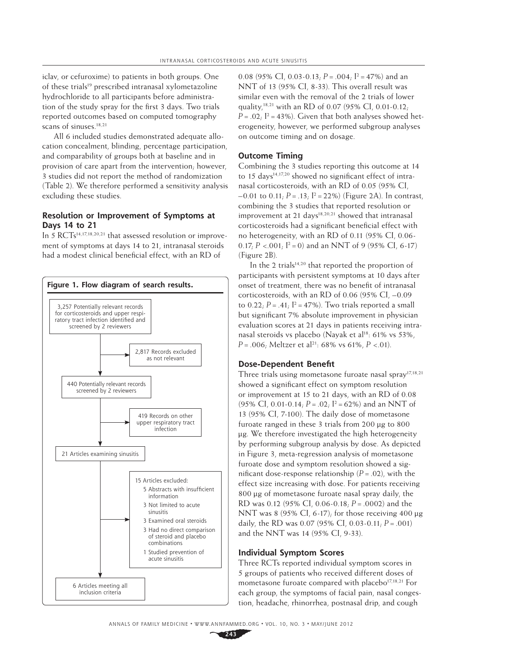iclav, or cefuroxime) to patients in both groups. One of these trials<sup>19</sup> prescribed intranasal xylometazoline hydrochloride to all participants before administration of the study spray for the first 3 days. Two trials reported outcomes based on computed tomography scans of sinuses.<sup>18,21</sup>

All 6 included studies demonstrated adequate allocation concealment, blinding, percentage participation, and comparability of groups both at baseline and in provision of care apart from the intervention; however, 3 studies did not report the method of randomization (Table 2). We therefore performed a sensitivity analysis excluding these studies.

## **Resolution or Improvement of Symptoms at Days 14 to 21**

In 5 RCTs<sup>14,17,18,20,21</sup> that assessed resolution or improvement of symptoms at days 14 to 21, intranasal steroids had a modest clinical beneficial effect, with an RD of



0.08 (95% CI, 0.03-0.13;  $P = .004$ ;  $I^2 = 47\%$ ) and an NNT of 13 (95% CI, 8-33). This overall result was similar even with the removal of the 2 trials of lower quality,18,21 with an RD of 0.07 (95% CI, 0.01-0.12;  $P = .02$ ;  $I^2 = 43\%$ ). Given that both analyses showed heterogeneity, however, we performed subgroup analyses on outcome timing and on dosage.

## **Outcome Timing**

Combining the 3 studies reporting this outcome at 14 to 15 days<sup>14,17,20</sup> showed no significant effect of intranasal corticosteroids, with an RD of 0.05 (95% CI,  $-0.01$  to  $0.11$ ;  $P = .13$ ;  $I^2 = 22\%$ ) (Figure 2A). In contrast, combining the 3 studies that reported resolution or improvement at 21 days $18,20,21$  showed that intranasal corticosteroids had a significant beneficial effect with no heterogeneity, with an RD of 0.11 (95% CI, 0.06- 0.17;  $P < 0.01$ ;  $I^2 = 0$ ) and an NNT of 9 (95% CI, 6-17) (Figure 2B).

In the 2 trials $14,20$  that reported the proportion of participants with persistent symptoms at 10 days after onset of treatment, there was no benefit of intranasal corticosteroids, with an RD of 0.06 (95% CI, –0.09 to  $0.22$ ;  $P = .41$ ;  $I^2 = 47$ %). Two trials reported a small but significant 7% absolute improvement in physician evaluation scores at 21 days in patients receiving intranasal steroids vs placebo (Nayak et al<sup>18</sup>: 61% vs 53%,  $P = 0.006$ ; Meltzer et al<sup>21</sup>: 68% vs 61%,  $P < 0.01$ ).

#### **Dose-Dependent Benefit**

Three trials using mometasone furoate nasal spray<sup>17,18,21</sup> showed a significant effect on symptom resolution or improvement at 15 to 21 days, with an RD of 0.08 (95% CI, 0.01-0.14;  $P = .02$ ;  $I^2 = 62%$ ) and an NNT of 13 (95% CI, 7-100). The daily dose of mometasone furoate ranged in these 3 trials from 200 μg to 800 μg. We therefore investigated the high heterogeneity by performing subgroup analysis by dose. As depicted in Figure 3, meta-regression analysis of mometasone furoate dose and symptom resolution showed a significant dose-response relationship  $(P = .02)$ , with the effect size increasing with dose. For patients receiving 800 μg of mometasone furoate nasal spray daily, the RD was 0.12 (95% CI, 0.06-0.18; *P* = .0002) and the NNT was 8 (95% CI, 6-17); for those receiving 400 μg daily, the RD was 0.07 (95% CI, 0.03-0.11; *P* = .001) and the NNT was 14 (95% CI, 9-33).

#### **Individual Symptom Scores**

Three RCTs reported individual symptom scores in 5 groups of patients who received different doses of mometasone furoate compared with placebo<sup>17,18,21</sup> For each group, the symptoms of facial pain, nasal congestion, headache, rhinorrhea, postnasal drip, and cough

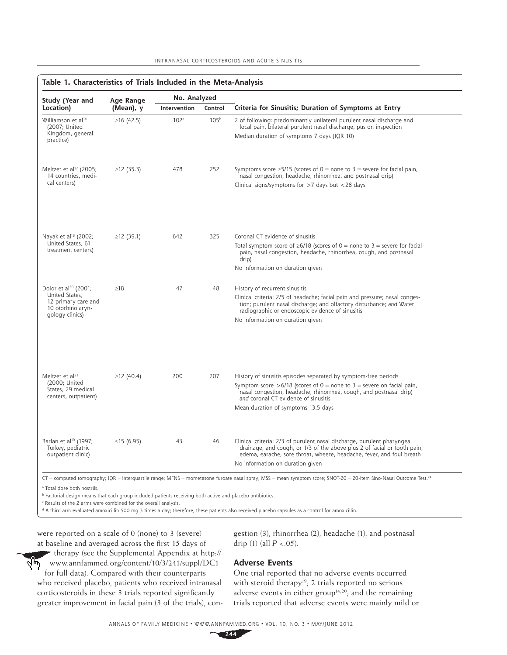| Study (Year and                                                                                                   | Age Range        | No. Analyzed     |                  |                                                                                                                                                                                                                                                                                                   |  |
|-------------------------------------------------------------------------------------------------------------------|------------------|------------------|------------------|---------------------------------------------------------------------------------------------------------------------------------------------------------------------------------------------------------------------------------------------------------------------------------------------------|--|
| Location)                                                                                                         | (Mean), y        | Intervention     | Control          | Criteria for Sinusitis; Duration of Symptoms at Entry                                                                                                                                                                                                                                             |  |
| Williamson et al <sup>14</sup><br>(2007; United<br>Kingdom, general<br>practice)                                  | $\geq$ 16 (42.5) | 102 <sup>a</sup> | 105 <sup>b</sup> | 2 of following: predominantly unilateral purulent nasal discharge and<br>local pain, bilateral purulent nasal discharge, pus on inspection<br>Median duration of symptoms 7 days (IQR 10)                                                                                                         |  |
| Meltzer et al <sup>17</sup> (2005;<br>14 countries, medi-<br>cal centers)                                         | ≥12 $(35.3)$     | 478              | 252              | Symptoms score $\geq$ 5/15 (scores of 0 = none to 3 = severe for facial pain,<br>nasal congestion, headache, rhinorrhea, and postnasal drip)<br>Clinical signs/symptoms for $>7$ days but $<$ 28 days                                                                                             |  |
| Nayak et al <sup>18</sup> (2002;<br>United States, 61<br>treatment centers)                                       | ≥12 (39.1)       | 642              | 325              | Coronal CT evidence of sinusitis<br>Total symptom score of $\geq 6/18$ (scores of 0 = none to 3 = severe for facial<br>pain, nasal congestion, headache, rhinorrhea, cough, and postnasal<br>drip)<br>No information on duration given                                                            |  |
| Dolor et al <sup>20</sup> (2001;<br>United States,<br>12 primary care and<br>10 otorhinolaryn-<br>gology clinics) | $\geq$ 18        | 47               | 48               | History of recurrent sinusitis<br>Clinical criteria: 2/5 of headache; facial pain and pressure; nasal conges-<br>tion; purulent nasal discharge; and olfactory disturbance; and Water<br>radiographic or endoscopic evidence of sinusitis<br>No information on duration given                     |  |
| Meltzer et al <sup>21</sup><br>(2000; United<br>States, 29 medical<br>centers, outpatient)                        | ≥12 (40.4)       | 200              | 207              | History of sinusitis episodes separated by symptom-free periods<br>Symptom score >6/18 (scores of $0 =$ none to $3 =$ severe on facial pain,<br>nasal congestion, headache, rhinorrhea, cough, and postnasal drip)<br>and coronal CT evidence of sinusitis<br>Mean duration of symptoms 13.5 days |  |
| Barlan et al <sup>19</sup> (1997;<br>Turkey, pediatric<br>outpatient clinic)                                      | ≤15 (6.95)       | 43               | 46               | Clinical criteria: 2/3 of purulent nasal discharge, purulent pharyngeal<br>drainage, and cough, or 1/3 of the above plus 2 of facial or tooth pain,<br>edema, earache, sore throat, wheeze, headache, fever, and foul breath<br>No information on duration given                                  |  |

CT = computed tomography; IQR = interquartile range; MFNS = mometasone furoate nasal spray; MSS = mean symptom score; SNOT-20 = 20-item Sino-Nasal Outcome Test.<sup>24</sup>

a Total dose both nostrils.

b Factorial design means that each group included patients receiving both active and placebo antibiotics.

c Results of the 2 arms were combined for the overall analysis.

d A third arm evaluated amoxicillin 500 mg 3 times a day; therefore, these patients also received placebo capsules as a control for amoxicillin.

were reported on a scale of 0 (none) to 3 (severe) at baseline and averaged across the first 15 days of

therapy (see the Supplemental Appendix at http:// लेण www.annfammed.org/content/10/3/241/suppl/DC1 for full data). Compared with their counterparts who received placebo, patients who received intranasal corticosteroids in these 3 trials reported significantly greater improvement in facial pain (3 of the trials), congestion (3), rhinorrhea (2), headache (1), and postnasal drip (1) (all  $P < .05$ ).

#### **Adverse Events**

One trial reported that no adverse events occurred with steroid therapy<sup>19</sup>; 2 trials reported no serious adverse events in either group<sup>14,20</sup>; and the remaining trials reported that adverse events were mainly mild or

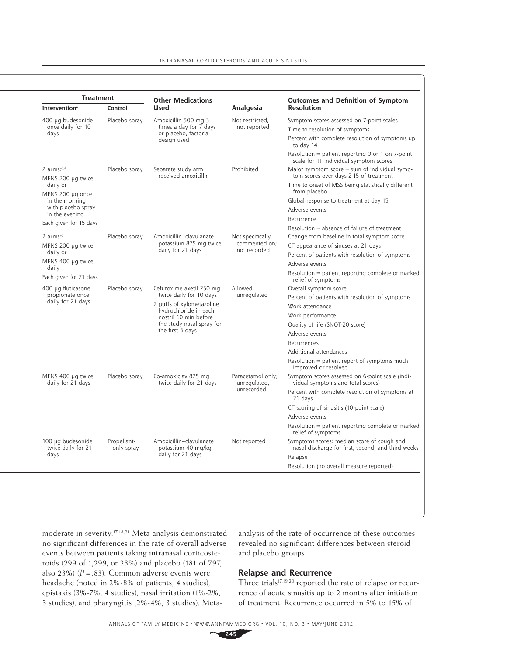| <b>Treatment</b>                                    |                           | <b>Other Medications</b>                                                                                                                                                            |                                                   | <b>Outcomes and Definition of Symptom</b><br><b>Resolution</b>                                   |  |
|-----------------------------------------------------|---------------------------|-------------------------------------------------------------------------------------------------------------------------------------------------------------------------------------|---------------------------------------------------|--------------------------------------------------------------------------------------------------|--|
| <b>Intervention</b> <sup>a</sup>                    | Control                   | <b>Used</b>                                                                                                                                                                         | Analgesia                                         |                                                                                                  |  |
| 400 µg budesonide<br>once daily for 10<br>days      | Placebo spray             | Amoxicillin 500 mg 3<br>times a day for 7 days<br>or placebo, factorial<br>design used                                                                                              | Not restricted.<br>not reported                   | Symptom scores assessed on 7-point scales<br>Time to resolution of symptoms                      |  |
|                                                     |                           |                                                                                                                                                                                     |                                                   | Percent with complete resolution of symptoms up<br>to day 14                                     |  |
|                                                     |                           |                                                                                                                                                                                     |                                                   | Resolution = patient reporting 0 or 1 on 7-point<br>scale for 11 individual symptom scores       |  |
| 2 $arms: c,d$<br>Placebo spray<br>MFNS 200 µg twice |                           | Separate study arm<br>received amoxicillin                                                                                                                                          | Prohibited                                        | Major symptom score $=$ sum of individual symp-<br>tom scores over days 2-15 of treatment        |  |
| daily or<br>MFNS 200 µg once                        |                           |                                                                                                                                                                                     |                                                   | Time to onset of MSS being statistically different<br>from placebo                               |  |
| in the morning                                      |                           |                                                                                                                                                                                     |                                                   | Global response to treatment at day 15                                                           |  |
| with placebo spray                                  |                           |                                                                                                                                                                                     |                                                   | Adverse events                                                                                   |  |
| in the evening                                      |                           |                                                                                                                                                                                     |                                                   | Recurrence                                                                                       |  |
| Each given for 15 days                              |                           |                                                                                                                                                                                     |                                                   | Resolution = absence of failure of treatment                                                     |  |
| $2 \text{ arms}$ :                                  | Placebo spray             | Amoxicillin-clavulanate<br>potassium 875 mg twice<br>daily for 21 days                                                                                                              | Not specifically<br>commented on;<br>not recorded | Change from baseline in total symptom score                                                      |  |
| MFNS 200 µg twice                                   |                           |                                                                                                                                                                                     |                                                   | CT appearance of sinuses at 21 days                                                              |  |
| daily or                                            |                           |                                                                                                                                                                                     |                                                   | Percent of patients with resolution of symptoms                                                  |  |
| MFNS 400 µg twice                                   |                           |                                                                                                                                                                                     |                                                   | Adverse events                                                                                   |  |
| daily<br>Each given for 21 days                     |                           |                                                                                                                                                                                     |                                                   | Resolution = patient reporting complete or marked<br>relief of symptoms                          |  |
| 400 µg fluticasone                                  | Placebo spray             | Cefuroxime axetil 250 mg<br>twice daily for 10 days<br>2 puffs of xylometazoline<br>hydrochloride in each<br>nostril 10 min before<br>the study nasal spray for<br>the first 3 days | Allowed,<br>unregulated                           | Overall symptom score                                                                            |  |
| propionate once<br>daily for 21 days                |                           |                                                                                                                                                                                     |                                                   | Percent of patients with resolution of symptoms                                                  |  |
|                                                     |                           |                                                                                                                                                                                     |                                                   | Work attendance                                                                                  |  |
|                                                     |                           |                                                                                                                                                                                     |                                                   | Work performance                                                                                 |  |
|                                                     |                           |                                                                                                                                                                                     |                                                   | Quality of life (SNOT-20 score)                                                                  |  |
|                                                     |                           |                                                                                                                                                                                     |                                                   | Adverse events                                                                                   |  |
|                                                     |                           |                                                                                                                                                                                     |                                                   | Recurrences                                                                                      |  |
|                                                     |                           |                                                                                                                                                                                     |                                                   | Additional attendances                                                                           |  |
|                                                     |                           |                                                                                                                                                                                     |                                                   | Resolution = patient report of symptoms much<br>improved or resolved                             |  |
| MFNS 400 µg twice<br>daily for 21 days              | Placebo spray             | Co-amoxiclav 875 mg<br>twice daily for 21 days                                                                                                                                      | Paracetamol only;<br>unregulated,<br>unrecorded   | Symptom scores assessed on 6-point scale (indi-<br>vidual symptoms and total scores)             |  |
|                                                     |                           |                                                                                                                                                                                     |                                                   | Percent with complete resolution of symptoms at<br>21 days                                       |  |
|                                                     |                           |                                                                                                                                                                                     |                                                   | CT scoring of sinusitis (10-point scale)                                                         |  |
|                                                     |                           |                                                                                                                                                                                     |                                                   | Adverse events                                                                                   |  |
|                                                     |                           |                                                                                                                                                                                     |                                                   | Resolution = patient reporting complete or marked<br>relief of symptoms                          |  |
| 100 µg budesonide<br>twice daily for 21<br>days     | Propellant-<br>only spray | Amoxicillin-clavulanate<br>potassium 40 mg/kg<br>daily for 21 days                                                                                                                  | Not reported                                      | Symptoms scores: median score of cough and<br>nasal discharge for first, second, and third weeks |  |
|                                                     |                           |                                                                                                                                                                                     |                                                   | Relapse                                                                                          |  |
|                                                     |                           |                                                                                                                                                                                     |                                                   | Resolution (no overall measure reported)                                                         |  |

moderate in severity.17,18,21 Meta-analysis demonstrated no significant differences in the rate of overall adverse events between patients taking intranasal corticosteroids (299 of 1,299, or 23%) and placebo (181 of 797, also 23%)  $(P = .83)$ . Common adverse events were headache (noted in 2%-8% of patients, 4 studies), epistaxis (3%-7%, 4 studies), nasal irritation (1%-2%, 3 studies), and pharyngitis (2%-4%, 3 studies). Metaanalysis of the rate of occurrence of these outcomes revealed no significant differences between steroid and placebo groups.

# **Relapse and Recurrence**

Three trials<sup>17,19,20</sup> reported the rate of relapse or recurrence of acute sinusitis up to 2 months after initiation of treatment. Recurrence occurred in 5% to 15% of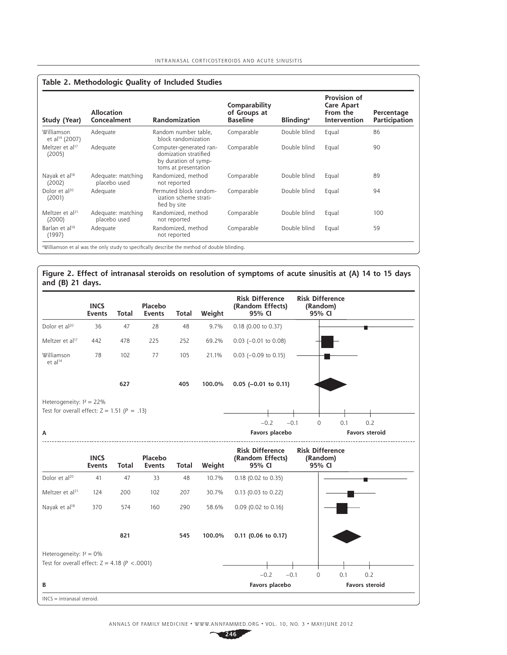| Table 2. Methodologic Quality of Included Studies |                                    |                                                                                                  |                                                  |                              |                                                                      |                             |  |
|---------------------------------------------------|------------------------------------|--------------------------------------------------------------------------------------------------|--------------------------------------------------|------------------------------|----------------------------------------------------------------------|-----------------------------|--|
| Study (Year)                                      | <b>Allocation</b><br>Concealment   | <b>Randomization</b>                                                                             | Comparability<br>of Groups at<br><b>Baseline</b> | <b>Blinding</b> <sup>a</sup> | Provision of<br><b>Care Apart</b><br>From the<br><b>Intervention</b> | Percentage<br>Participation |  |
| Williamson<br>et al <sup>14</sup> (2007)          | Adequate                           | Random number table,<br>block randomization                                                      | Comparable                                       | Double blind                 | Equal                                                                | 86                          |  |
| Meltzer et al <sup>17</sup><br>(2005)             | Adequate                           | Computer-generated ran-<br>domization stratified<br>by duration of symp-<br>toms at presentation | Comparable                                       | Double blind                 | Equal                                                                | 90                          |  |
| Nayak et al <sup>18</sup><br>(2002)               | Adequate: matching<br>placebo used | Randomized, method<br>not reported                                                               | Comparable                                       | Double blind                 | Equal                                                                | 89                          |  |
| Dolor et al <sup>20</sup><br>(2001)               | Adequate                           | Permuted block random-<br>ization scheme strati-<br>fied by site                                 | Comparable                                       | Double blind                 | Equal                                                                | 94                          |  |
| Meltzer et al <sup>21</sup><br>(2000)             | Adequate: matching<br>placebo used | Randomized, method<br>not reported                                                               | Comparable                                       | Double blind                 | Equal                                                                | 100                         |  |
| Barlan et al <sup>19</sup><br>(1997)              | Adequate                           | Randomized, method<br>not reported                                                               | Comparable                                       | Double blind                 | Equal                                                                | 59                          |  |
|                                                   |                                    | aWilliamson et al was the only study to specifically describe the method of double blinding.     |                                                  |                              |                                                                      |                             |  |

# **Figure 2. Effect of intranasal steroids on resolution of symptoms of acute sinusitis at (A) 14 to 15 days and (B) 21 days.**

|                                                                                  | <b>INCS</b><br><b>Events</b> | <b>Total</b> | Placebo<br><b>Events</b> | Total        | Weight | <b>Risk Difference</b><br>(Random Effects)<br>95% CI | <b>Risk Difference</b><br>(Random)<br>95% CI |
|----------------------------------------------------------------------------------|------------------------------|--------------|--------------------------|--------------|--------|------------------------------------------------------|----------------------------------------------|
| Dolor et al <sup>20</sup>                                                        | 36                           | 47           | 28                       | 48           | 9.7%   | 0.18 (0.00 to 0.37)                                  |                                              |
| Meltzer et al <sup>17</sup>                                                      | 442                          | 478          | 225                      | 252          | 69.2%  | $0.03$ (-0.01 to 0.08)                               |                                              |
| Williamson<br>et al <sup>14</sup>                                                | 78                           | 102          | 77                       | 105          | 21.1%  | $0.03$ (-0.09 to 0.15)                               |                                              |
|                                                                                  |                              | 627          |                          | 405          | 100.0% | $0.05$ (-0.01 to 0.11)                               |                                              |
| Heterogeneity: $I^2 = 22\%$<br>Test for overall effect: $Z = 1.51$ ( $P = .13$ ) |                              |              |                          |              |        |                                                      |                                              |
|                                                                                  |                              |              |                          |              |        | $-0.2$<br>$-0.1$                                     | $\mathbf 0$<br>0.1<br>0.2                    |
| А                                                                                |                              |              |                          |              |        | Favors placebo                                       | <b>Favors steroid</b>                        |
|                                                                                  | <b>INCS</b><br><b>Events</b> | <b>Total</b> | Placebo<br><b>Events</b> | <b>Total</b> | Weight | <b>Risk Difference</b><br>(Random Effects)<br>95% CI | <b>Risk Difference</b><br>(Random)<br>95% CI |
| Dolor et al <sup>20</sup>                                                        | 41                           | 47           | 33                       | 48           | 10.7%  | 0.18 (0.02 to 0.35)                                  |                                              |
| Meltzer et al <sup>21</sup>                                                      | 124                          | 200          | 102                      | 207          | 30.7%  | 0.13 (0.03 to 0.22)                                  |                                              |
| Nayak et al <sup>18</sup>                                                        | 370                          | 574          | 160                      | 290          | 58.6%  | 0.09 (0.02 to 0.16)                                  |                                              |
|                                                                                  |                              | 821          |                          | 545          | 100.0% | 0.11 (0.06 to 0.17)                                  |                                              |
| Heterogeneity: $I^2 = 0\%$                                                       |                              |              |                          |              |        |                                                      |                                              |
| Test for overall effect: $Z = 4.18$ ( $P < .0001$ )                              |                              |              |                          |              |        | $-0.2$<br>$-0.1$                                     | 0.2<br>0<br>0.1                              |
| В                                                                                |                              |              |                          |              |        | Favors placebo                                       | <b>Favors steroid</b>                        |
| $INCS = intranasal steroid.$                                                     |                              |              |                          |              |        |                                                      |                                              |

ANNALS OF FAMILY MEDICINE ✦ WWW.ANNFAMMED.ORG ✦ VOL. 10, NO. 3 ✦ MAY/JUNE 2012

**246**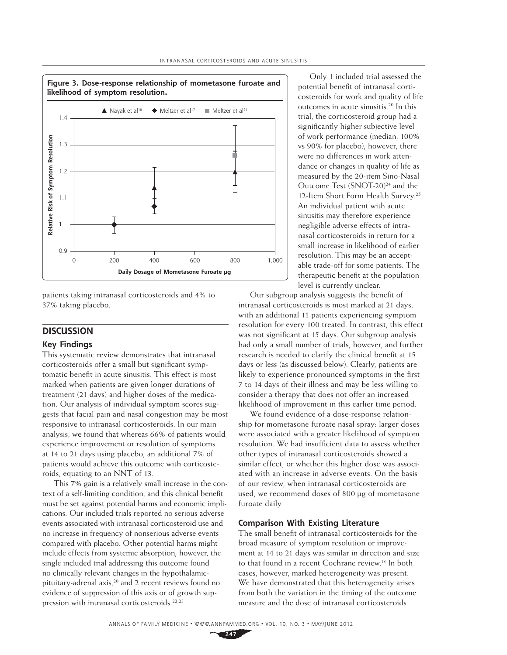

patients taking intranasal corticosteroids and 4% to 37% taking placebo.

# **DISCUSSION**

# **Key Findings**

This systematic review demonstrates that intranasal corticosteroids offer a small but significant symptomatic benefit in acute sinusitis. This effect is most marked when patients are given longer durations of treatment (21 days) and higher doses of the medication. Our analysis of individual symptom scores suggests that facial pain and nasal congestion may be most responsive to intranasal corticosteroids. In our main analysis, we found that whereas 66% of patients would experience improvement or resolution of symptoms at 14 to 21 days using placebo, an additional 7% of patients would achieve this outcome with corticosteroids, equating to an NNT of 13.

This 7% gain is a relatively small increase in the context of a self-limiting condition, and this clinical benefit must be set against potential harms and economic implications. Our included trials reported no serious adverse events associated with intranasal corticosteroid use and no increase in frequency of nonserious adverse events compared with placebo. Other potential harms might include effects from systemic absorption; however, the single included trial addressing this outcome found no clinically relevant changes in the hypothalamicpituitary-adrenal axis,<sup>20</sup> and 2 recent reviews found no evidence of suppression of this axis or of growth suppression with intranasal corticosteroids.22,23

Only 1 included trial assessed the potential benefit of intranasal corticosteroids for work and quality of life outcomes in acute sinusitis.20 In this trial, the corticosteroid group had a significantly higher subjective level of work performance (median, 100% vs 90% for placebo); however, there were no differences in work attendance or changes in quality of life as measured by the 20-item Sino-Nasal Outcome Test (SNOT-20)<sup>24</sup> and the 12-Item Short Form Health Survey.<sup>25</sup> An individual patient with acute sinusitis may therefore experience negligible adverse effects of intranasal corticosteroids in return for a small increase in likelihood of earlier resolution. This may be an acceptable trade-off for some patients. The therapeutic benefit at the population level is currently unclear.

Our subgroup analysis suggests the benefit of intranasal corticosteroids is most marked at 21 days, with an additional 11 patients experiencing symptom resolution for every 100 treated. In contrast, this effect was not significant at 15 days. Our subgroup analysis had only a small number of trials, however, and further research is needed to clarify the clinical benefit at 15 days or less (as discussed below). Clearly, patients are likely to experience pronounced symptoms in the first 7 to 14 days of their illness and may be less willing to consider a therapy that does not offer an increased likelihood of improvement in this earlier time period.

We found evidence of a dose-response relationship for mometasone furoate nasal spray: larger doses were associated with a greater likelihood of symptom resolution. We had insufficient data to assess whether other types of intranasal corticosteroids showed a similar effect, or whether this higher dose was associated with an increase in adverse events. On the basis of our review, when intranasal corticosteroids are used, we recommend doses of 800 μg of mometasone furoate daily.

## **Comparison With Existing Literature**

The small benefit of intranasal corticosteroids for the broad measure of symptom resolution or improvement at 14 to 21 days was similar in direction and size to that found in a recent Cochrane review.13 In both cases, however, marked heterogeneity was present. We have demonstrated that this heterogeneity arises from both the variation in the timing of the outcome measure and the dose of intranasal corticosteroids

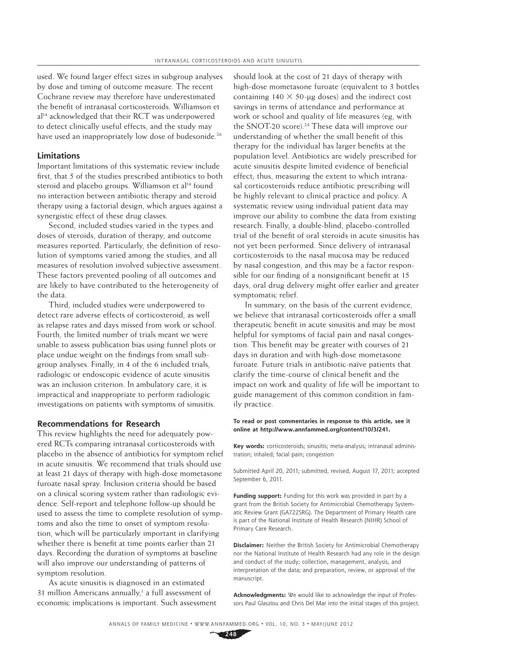used. We found larger effect sizes in subgroup analyses by dose and timing of outcome measure. The recent Cochrane review may therefore have underestimated the benefit of intranasal corticosteroids. Williamson et al<sup>14</sup> acknowledged that their RCT was underpowered to detect clinically useful effects, and the study may have used an inappropriately low dose of budesonide.<sup>26</sup>

#### **Limitations**

Important limitations of this systematic review include first, that 5 of the studies prescribed antibiotics to both steroid and placebo groups. Williamson et al<sup>14</sup> found no interaction between antibiotic therapy and steroid therapy using a factorial design, which argues against a synergistic effect of these drug classes.

Second, included studies varied in the types and doses of steroids, duration of therapy, and outcome measures reported. Particularly, the definition of resolution of symptoms varied among the studies, and all measures of resolution involved subjective assessment. These factors prevented pooling of all outcomes and are likely to have contributed to the heterogeneity of the data.

Third, included studies were underpowered to detect rare adverse effects of corticosteroid, as well as relapse rates and days missed from work or school. Fourth, the limited number of trials meant we were unable to assess publication bias using funnel plots or place undue weight on the findings from small subgroup analyses. Finally, in 4 of the 6 included trials, radiologic or endoscopic evidence of acute sinusitis was an inclusion criterion. In ambulatory care, it is impractical and inappropriate to perform radiologic investigations on patients with symptoms of sinusitis.

## **Recommendations for Research**

This review highlights the need for adequately powered RCTs comparing intranasal corticosteroids with placebo in the absence of antibiotics for symptom relief in acute sinusitis. We recommend that trials should use at least 21 days of therapy with high-dose mometasone furoate nasal spray. Inclusion criteria should be based on a clinical scoring system rather than radiologic evidence. Self-report and telephone follow-up should be used to assess the time to complete resolution of symptoms and also the time to onset of symptom resolution, which will be particularly important in clarifying whether there is benefit at time points earlier than 21 days. Recording the duration of symptoms at baseline will also improve our understanding of patterns of symptom resolution.

As acute sinusitis is diagnosed in an estimated 31 million Americans annually,<sup>1</sup> a full assessment of economic implications is important. Such assessment should look at the cost of 21 days of therapy with high-dose mometasone furoate (equivalent to 3 bottles containing  $140 \times 50$ -µg doses) and the indirect cost savings in terms of attendance and performance at work or school and quality of life measures (eg, with the SNOT-20 score).<sup>24</sup> These data will improve our understanding of whether the small benefit of this therapy for the individual has larger benefits at the population level. Antibiotics are widely prescribed for acute sinusitis despite limited evidence of beneficial effect; thus, measuring the extent to which intranasal corticosteroids reduce antibiotic prescribing will be highly relevant to clinical practice and policy. A systematic review using individual patient data may improve our ability to combine the data from existing research. Finally, a double-blind, placebo-controlled trial of the benefit of oral steroids in acute sinusitis has not yet been performed. Since delivery of intranasal corticosteroids to the nasal mucosa may be reduced by nasal congestion, and this may be a factor responsible for our finding of a nonsignificant benefit at 15 days, oral drug delivery might offer earlier and greater symptomatic relief.

In summary, on the basis of the current evidence, we believe that intranasal corticosteroids offer a small therapeutic benefit in acute sinusitis and may be most helpful for symptoms of facial pain and nasal congestion. This benefit may be greater with courses of 21 days in duration and with high-dose mometasone furoate. Future trials in antibiotic-naïve patients that clarify the time-course of clinical benefit and the impact on work and quality of life will be important to guide management of this common condition in family practice.

#### **To read or post commentaries in response to this article, see it online at http://www.annfammed.org/content/10/3/241.**

**Key words:** corticosteroids; sinusitis; meta-analysis; intranasal administration; inhaled; facial pain; congestion

Submitted April 20, 2011; submitted, revised, August 17, 2011; accepted September 6, 2011.

Funding support: Funding for this work was provided in part by a grant from the British Society for Antimicrobial Chemotherapy Systematic Review Grant (GA722SRG). The Department of Primary Health care is part of the National Institute of Health Research (NIHR) School of Primary Care Research.

**Disclaimer:** Neither the British Society for Antimicrobial Chemotherapy nor the National Institute of Health Research had any role in the design and conduct of the study; collection, management, analysis, and interpretation of the data; and preparation, review, or approval of the manuscript.

**Acknowledgments:** We would like to acknowledge the input of Professors Paul Glasziou and Chris Del Mar into the initial stages of this project.